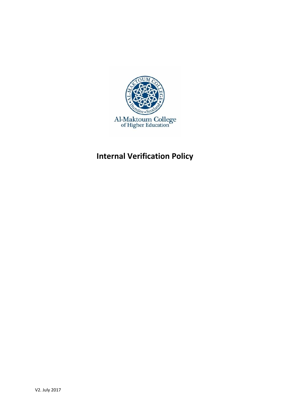

# **Internal Verification Policy**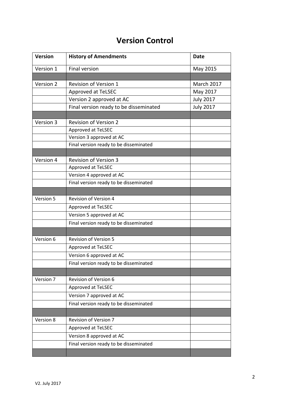## **Version Control**

| <b>Version</b> | <b>History of Amendments</b>           | <b>Date</b>      |
|----------------|----------------------------------------|------------------|
| Version 1      | <b>Final version</b>                   | May 2015         |
|                |                                        |                  |
| Version 2      | Revision of Version 1                  | March 2017       |
|                | <b>Approved at TeLSEC</b>              | May 2017         |
|                | Version 2 approved at AC               | <b>July 2017</b> |
|                | Final version ready to be disseminated | <b>July 2017</b> |
|                |                                        |                  |
| Version 3      | <b>Revision of Version 2</b>           |                  |
|                | Approved at TeLSEC                     |                  |
|                | Version 3 approved at AC               |                  |
|                | Final version ready to be disseminated |                  |
| Version 4      | <b>Revision of Version 3</b>           |                  |
|                | Approved at TeLSEC                     |                  |
|                | Version 4 approved at AC               |                  |
|                | Final version ready to be disseminated |                  |
|                |                                        |                  |
| Version 5      | <b>Revision of Version 4</b>           |                  |
|                | Approved at TeLSEC                     |                  |
|                | Version 5 approved at AC               |                  |
|                | Final version ready to be disseminated |                  |
|                |                                        |                  |
| Version 6      | <b>Revision of Version 5</b>           |                  |
|                | Approved at TeLSEC                     |                  |
|                | Version 6 approved at AC               |                  |
|                | Final version ready to be disseminated |                  |
|                |                                        |                  |
| Version 7      | Revision of Version 6                  |                  |
|                | Approved at TeLSEC                     |                  |
|                | Version 7 approved at AC               |                  |
|                | Final version ready to be disseminated |                  |
|                |                                        |                  |
| Version 8      | <b>Revision of Version 7</b>           |                  |
|                | Approved at TeLSEC                     |                  |
|                | Version 8 approved at AC               |                  |
|                | Final version ready to be disseminated |                  |
|                |                                        |                  |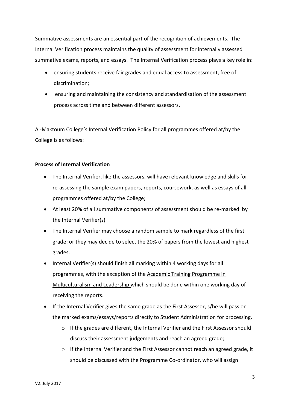Summative assessments are an essential part of the recognition of achievements. The Internal Verification process maintains the quality of assessment for internally assessed summative exams, reports, and essays. The Internal Verification process plays a key role in:

- ensuring students receive fair grades and equal access to assessment, free of discrimination;
- ensuring and maintaining the consistency and standardisation of the assessment process across time and between different assessors.

Al-Maktoum College's Internal Verification Policy for all programmes offered at/by the College is as follows:

### **Process of Internal Verification**

- The Internal Verifier, like the assessors, will have relevant knowledge and skills for re-assessing the sample exam papers, reports, coursework, as well as essays of all programmes offered at/by the College;
- At least 20% of all summative components of assessment should be re-marked by the Internal Verifier(s)
- The Internal Verifier may choose a random sample to mark regardless of the first grade; or they may decide to select the 20% of papers from the lowest and highest grades.
- Internal Verifier(s) should finish all marking within 4 working days for all programmes, with the exception of the Academic Training Programme in Multiculturalism and Leadership which should be done within one working day of receiving the reports.
- If the Internal Verifier gives the same grade as the First Assessor, s/he will pass on the marked exams/essays/reports directly to Student Administration for processing.
	- $\circ$  If the grades are different, the Internal Verifier and the First Assessor should discuss their assessment judgements and reach an agreed grade;
	- $\circ$  If the Internal Verifier and the First Assessor cannot reach an agreed grade, it should be discussed with the Programme Co-ordinator, who will assign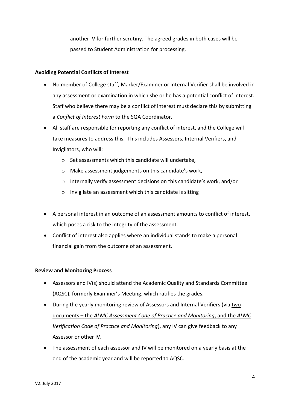another IV for further scrutiny. The agreed grades in both cases will be passed to Student Administration for processing.

### **Avoiding Potential Conflicts of Interest**

- No member of College staff, Marker/Examiner or Internal Verifier shall be involved in any assessment or examination in which she or he has a potential conflict of interest. Staff who believe there may be a conflict of interest must declare this by submitting a *Conflict of Interest Form* to the SQA Coordinator.
- All staff are responsible for reporting any conflict of interest, and the College will take measures to address this. This includes Assessors, Internal Verifiers, and Invigilators, who will:
	- o Set assessments which this candidate will undertake,
	- o Make assessment judgements on this candidate's work,
	- o Internally verify assessment decisions on this candidate's work, and/or
	- o Invigilate an assessment which this candidate is sitting
- A personal interest in an outcome of an assessment amounts to conflict of interest, which poses a risk to the integrity of the assessment.
- Conflict of interest also applies where an individual stands to make a personal financial gain from the outcome of an assessment.

#### **Review and Monitoring Process**

- Assessors and IV(s) should attend the Academic Quality and Standards Committee (AQSC), formerly Examiner's Meeting, which ratifies the grades.
- During the yearly monitoring review of Assessors and Internal Verifiers (via two documents – the *ALMC Assessment Code of Practice and Monitoring*, and the *ALMC Verification Code of Practice and Monitoring*), any IV can give feedback to any Assessor or other IV.
- The assessment of each assessor and IV will be monitored on a yearly basis at the end of the academic year and will be reported to AQSC.